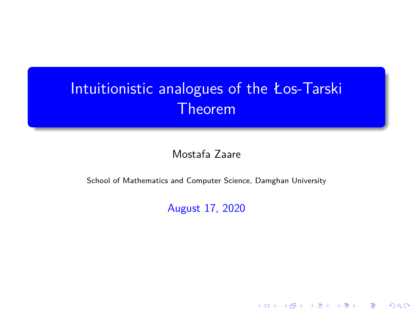Mostafa Zaare

School of Mathematics and Computer Science, Damghan University

August 17, 2020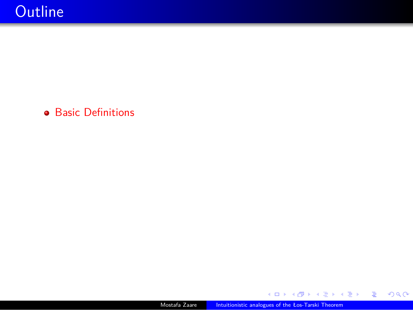**•** Basic Definitions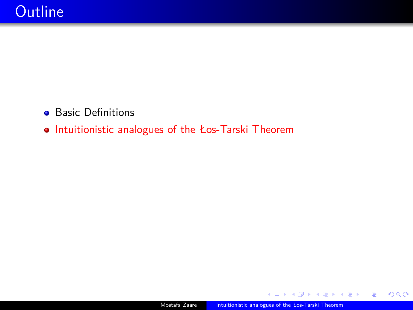- **•** Basic Definitions
- Intuitionistic analogues of the Łos-Tarski Theorem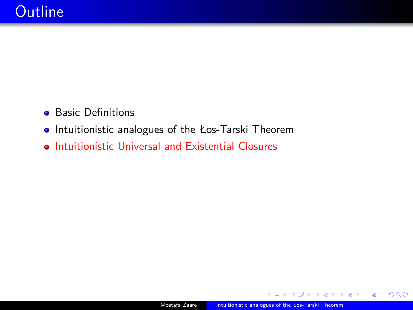- **•** Basic Definitions
- Intuitionistic analogues of the Łos-Tarski Theorem
- **Intuitionistic Universal and Existential Closures**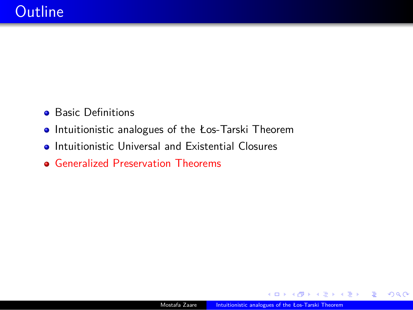- **•** Basic Definitions
- Intuitionistic analogues of the Łos-Tarski Theorem
- **•** Intuitionistic Universal and Existential Closures
- Generalized Preservation Theorems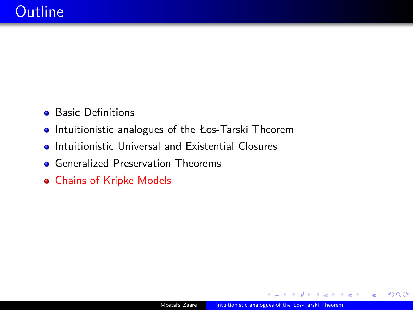- **•** Basic Definitions
- Intuitionistic analogues of the Łos-Tarski Theorem
- **•** Intuitionistic Universal and Existential Closures
- **•** Generalized Preservation Theorems
- Chains of Kripke Models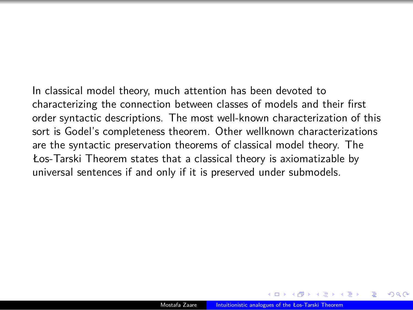In classical model theory, much attention has been devoted to characterizing the connection between classes of models and their first order syntactic descriptions. The most well-known characterization of this sort is Godel's completeness theorem. Other wellknown characterizations are the syntactic preservation theorems of classical model theory. The Łos-Tarski Theorem states that a classical theory is axiomatizable by universal sentences if and only if it is preserved under submodels.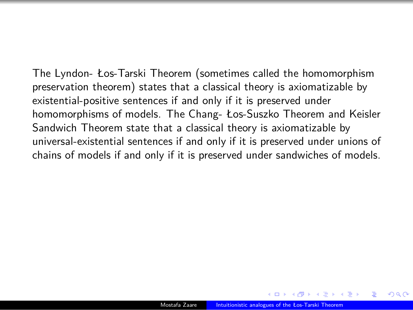The Lyndon- Łos-Tarski Theorem (sometimes called the homomorphism preservation theorem) states that a classical theory is axiomatizable by existential-positive sentences if and only if it is preserved under homomorphisms of models. The Chang- Łos-Suszko Theorem and Keisler Sandwich Theorem state that a classical theory is axiomatizable by universal-existential sentences if and only if it is preserved under unions of chains of models if and only if it is preserved under sandwiches of models.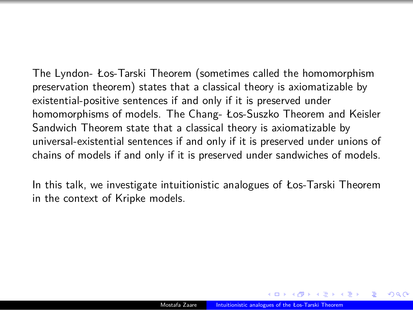The Lyndon- Łos-Tarski Theorem (sometimes called the homomorphism preservation theorem) states that a classical theory is axiomatizable by existential-positive sentences if and only if it is preserved under homomorphisms of models. The Chang- Łos-Suszko Theorem and Keisler Sandwich Theorem state that a classical theory is axiomatizable by universal-existential sentences if and only if it is preserved under unions of chains of models if and only if it is preserved under sandwiches of models.

In this talk, we investigate intuitionistic analogues of Łos-Tarski Theorem in the context of Kripke models.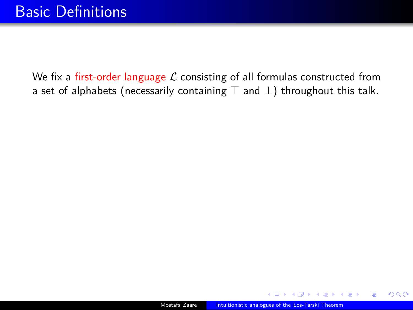We fix a first-order language *L* consisting of all formulas constructed from a set of alphabets (necessarily containing *⊤* and *⊥*) throughout this talk.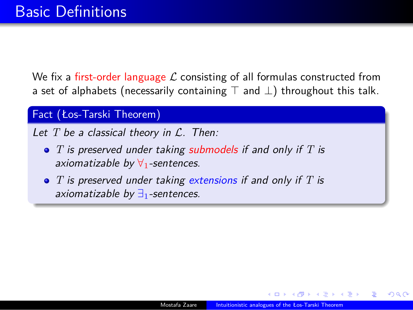We fix a first-order language *L* consisting of all formulas constructed from a set of alphabets (necessarily containing *⊤* and *⊥*) throughout this talk.

#### Fact (Łos-Tarski Theorem)

*Let T be a classical theory in L. Then:*

- *T is preserved under taking submodels if and only if T is axiomatizable by ∀*1*-sentences.*
- *T is preserved under taking extensions if and only if T is axiomatizable by ∃*1*-sentences.*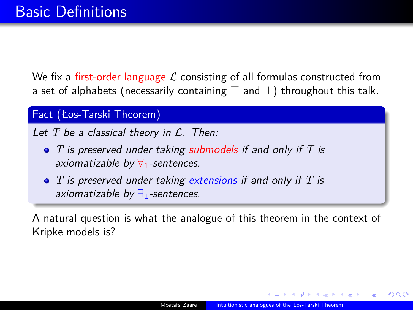We fix a first-order language *L* consisting of all formulas constructed from a set of alphabets (necessarily containing *⊤* and *⊥*) throughout this talk.

#### Fact (Łos-Tarski Theorem)

*Let T be a classical theory in L. Then:*

- *T is preserved under taking submodels if and only if T is axiomatizable by ∀*1*-sentences.*
- *T is preserved under taking extensions if and only if T is axiomatizable by ∃*1*-sentences.*

A natural question is what the analogue of this theorem in the context of Kripke models is?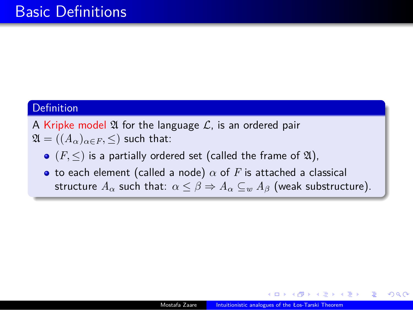#### **Definition**

A Kripke model  $\mathfrak A$  for the language  $\mathcal L$ , is an ordered pair

- $\mathfrak{A} = ((A_{\alpha})_{\alpha \in F}, \leq)$  such that:
	- $\bullet$   $(F, \leq)$  is a partially ordered set (called the frame of  $\mathfrak{A}$ ),
	- to each element (called a node)  $\alpha$  of  $F$  is attached a classical structure  $A_{\alpha}$  such that:  $\alpha \leq \beta \Rightarrow A_{\alpha} \subseteq_w A_{\beta}$  (weak substructure).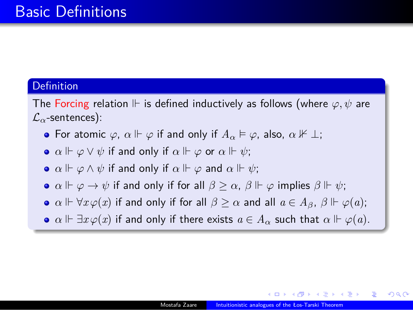#### **Definition**

The Forcing relation  $\Vdash$  is defined inductively as follows (where  $\varphi, \psi$  are *Lα*-sentences):

- **•** For atomic  $\varphi$ ,  $\alpha \Vdash \varphi$  if and only if  $A_{\alpha} \vDash \varphi$ , also,  $\alpha \nvDash \bot$ ;
- $\bullet$ *α*  $\Vdash \varphi \lor \psi$  if and only if  $\alpha \Vdash \varphi$  or  $\alpha \Vdash \psi$ ;
- $\bullet$ *α*  $\Vdash \varphi \land \psi$  if and only if  $\alpha \Vdash \varphi$  and  $\alpha \Vdash \psi$ ;
- $\alpha \Vdash \varphi \to \psi$  *if and only if for all*  $\beta \geq \alpha$ *,*  $\beta \Vdash \varphi$  *implies*  $\beta \Vdash \psi$ *;*
- $\alpha$  $\Vdash \forall x \varphi(x)$  **if and only if for all**  $\beta \geq \alpha$  **and all**  $a \in A_{\beta}$ **,**  $\beta \Vdash \varphi(a)$ **;**
- $\alpha$  $\Vdash \exists x \varphi(x)$  **if and only if there exists**  $a \in A_\alpha$  **such that**  $\alpha \Vdash \varphi(a)$ **.**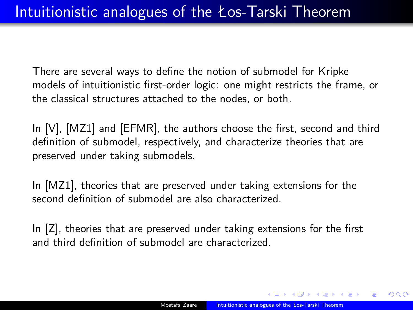There are several ways to define the notion of submodel for Kripke models of intuitionistic first-order logic: one might restricts the frame, or the classical structures attached to the nodes, or both.

In [V], [MZ1] and [EFMR], the authors choose the first, second and third definition of submodel, respectively, and characterize theories that are preserved under taking submodels.

In [MZ1], theories that are preserved under taking extensions for the second definition of submodel are also characterized.

In [Z], theories that are preserved under taking extensions for the first and third definition of submodel are characterized.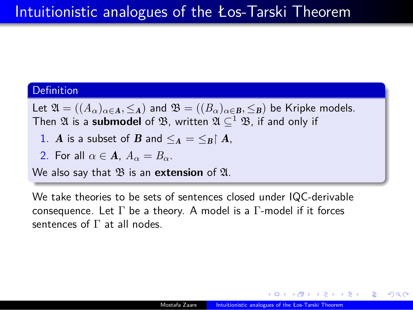#### **Definition**

Let  $\mathfrak{A} = ((A_{\alpha})_{\alpha \in \mathbf{A}}, \leq_{\mathbf{A}})$  and  $\mathfrak{B} = ((B_{\alpha})_{\alpha \in \mathbf{B}}, \leq_{\mathbf{B}})$  be Kripke models. Then  $\mathfrak A$  is a **submodel** of  $\mathfrak B$ , written  $\mathfrak A\subseteq^1\mathfrak B$ , if and only if

- 1. *A* is a subset of *B* and  $\leq_A = \leq_B \upharpoonright A$ ,
- 2. For all  $\alpha \in \mathbf{A}$ ,  $A_{\alpha} = B_{\alpha}$ .
- We also say that  $\mathfrak B$  is an **extension** of  $\mathfrak A$ .

We take theories to be sets of sentences closed under IQC-derivable consequence. Let  $\Gamma$  be a theory. A model is a  $\Gamma$ -model if it forces sentences of  $\Gamma$  at all nodes.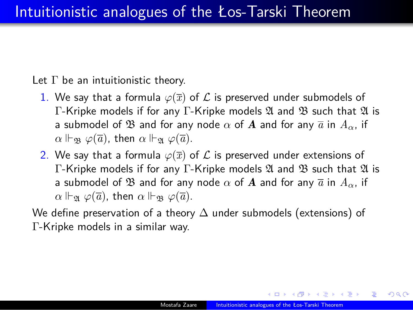Let Γ be an intuitionistic theory.

- 1. We say that a formula  $\varphi(\overline{x})$  of  $\mathcal L$  is preserved under submodels of Γ-Kripke models if for any Γ-Kripke models  $\mathfrak A$  and  $\mathfrak B$  such that  $\mathfrak A$  is a submodel of  $\mathfrak{B}$  and for any node  $\alpha$  of  $\mathbf{A}$  and for any  $\overline{a}$  in  $A_{\alpha}$ , if *α* ⊩<sub>B</sub>  $\varphi(\overline{a})$ , then *α* ⊩<sub>g</sub>  $\varphi(\overline{a})$ .
- 2. We say that a formula  $\varphi(\overline{x})$  of  $\mathcal L$  is preserved under extensions of Γ-Kripke models if for any Γ-Kripke models  $\mathfrak A$  and  $\mathfrak B$  such that  $\mathfrak A$  is a submodel of  $\mathfrak{B}$  and for any node  $\alpha$  of  $\mathbf{A}$  and for any  $\overline{a}$  in  $A_{\alpha}$ , if *α* ⊩<sub>*a*</sub>  $\varphi(\overline{a})$ , then *α* ⊩<sub>*a*</sub>  $\varphi(\overline{a})$ .

We define preservation of a theory ∆ under submodels (extensions) of Γ-Kripke models in a similar way.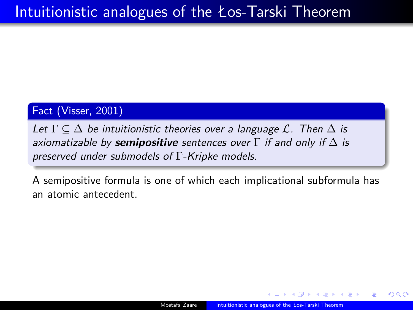Fact (Visser, 2001)

*Let*  $\Gamma \subseteq \Delta$  *be intuitionistic theories over a language*  $\mathcal{L}$ *. Then*  $\Delta$  *is axiomatizable by semipositive sentences over* Γ *if and only if* ∆ *is preserved under submodels of* Γ*-Kripke models.*

A semipositive formula is one of which each implicational subformula has an atomic antecedent.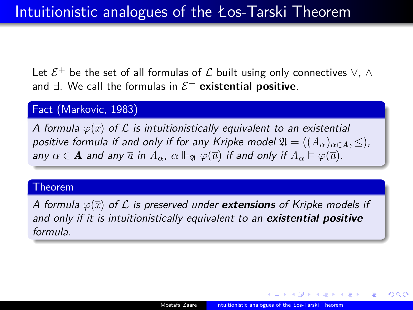Let  $\mathcal{E}^+$  be the set of all formulas of  $\mathcal L$  built using only connectives  $\vee$ ,  $\wedge$ and *∃*. We call the formulas in *E* <sup>+</sup> **existential positive**.

#### Fact (Markovic, 1983)

*A formula φ*(*x*) *of L is intuitionistically equivalent to an existential positive formula if and only if for any Kripke model*  $\mathfrak{A} = ((A_{\alpha})_{\alpha \in \mathbf{A}}, \leq)$ *,*  $A$ <sup>*a*</sup> *any*  $\alpha \in \mathbf{A}$  *and any*  $\overline{a}$  *in*  $A_{\alpha}$ ,  $\alpha \Vdash_{\mathfrak{A}} \varphi(\overline{a})$  *if and only if*  $A_{\alpha} \vDash \varphi(\overline{a})$ *.* 

#### Theorem

*A formula φ*(*x*) *of L is preserved under extensions of Kripke models if and only if it is intuitionistically equivalent to an existential positive formula.*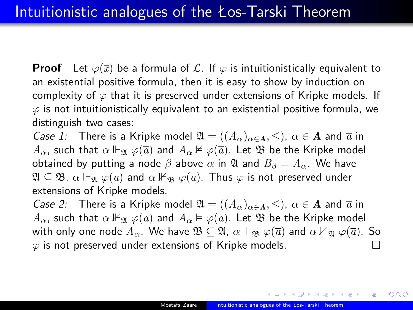**Proof** Let  $\varphi(\overline{x})$  be a formula of *L*. If  $\varphi$  is intuitionistically equivalent to an existential positive formula, then it is easy to show by induction on complexity of *φ* that it is preserved under extensions of Kripke models. If *φ* is not intuitionistically equivalent to an existential positive formula, we distinguish two cases:

*Case 1:* There is a Kripke model  $\mathfrak{A} = ((A_{\alpha})_{\alpha \in A}, \leq), \alpha \in A$  and  $\overline{a}$  in *A*<sub>*α*</sub>, such that *α* ⊩<sub> $\mathfrak{A}$  *φ*( $\overline{a}$ ) and *A*<sub>*α*</sub> ⊭ *φ*( $\overline{a}$ ). Let  $\mathfrak{B}$  be the Kripke model</sub> obtained by putting a node  $\beta$  above  $\alpha$  in  $\mathfrak A$  and  $B_{\beta} = A_{\alpha}$ . We have  $\mathfrak{A} \subseteq \mathfrak{B}$ ,  $\alpha \Vdash_{\mathfrak{A}} \varphi(\overline{a})$  and  $\alpha \nvDash_{\mathfrak{B}} \varphi(\overline{a})$ . Thus  $\varphi$  is not preserved under extensions of Kripke models.

*Case 2:* There is a Kripke model  $\mathfrak{A} = ((A_{\alpha})_{\alpha \in \mathbf{A}}, \leq), \ \alpha \in \mathbf{A}$  and  $\overline{a}$  in *A*<sub>α</sub>, such that  $\alpha \nvDash_{\mathfrak{A}} \varphi(\overline{a})$  and  $A_{\alpha} \vDash \varphi(\overline{a})$ . Let  $\mathfrak{B}$  be the Kripke model with only one node  $A_\alpha$ . We have  $\mathfrak{B} \subseteq \mathfrak{A}$ ,  $\alpha \Vdash_{\mathfrak{B}} \varphi(\overline{a})$  and  $\alpha \nvDash_{\mathfrak{A}} \varphi(\overline{a})$ . So  $\varphi$  is not preserved under extensions of Kripke models.  $\varphi$  is not preserved under extensions of Kripke models.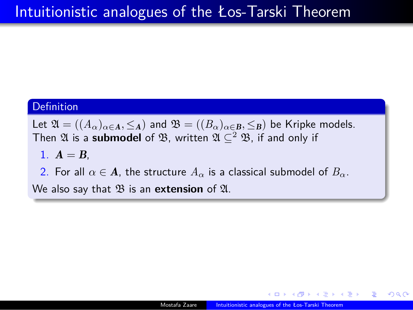#### **Definition**

Let  $\mathfrak{A} = ((A_{\alpha})_{\alpha \in \mathbf{A}}, \leq_{\mathbf{A}})$  and  $\mathfrak{B} = ((B_{\alpha})_{\alpha \in \mathbf{B}}, \leq_{\mathbf{B}})$  be Kripke models. Then  $\mathfrak A$  is a **submodel** of  $\mathfrak B$ , written  $\mathfrak A\subseteq^2\mathfrak B$ , if and only if 1.  $A = B$ , 2. For all  $\alpha \in \mathbf{A}$ , the structure  $A_{\alpha}$  is a classical submodel of  $B_{\alpha}$ .

We also say that  $\mathfrak B$  is an **extension** of  $\mathfrak A$ .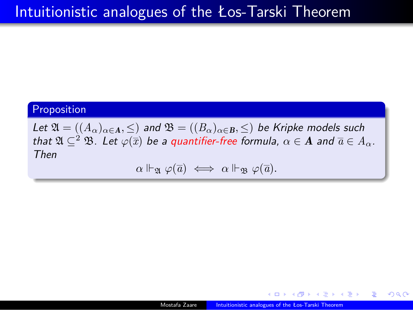Proposition

 $\mathcal{L}$ et  $\mathfrak{A} = ((A_{\alpha})_{\alpha \in \mathbf{A}}, \leq)$  and  $\mathfrak{B} = ((B_{\alpha})_{\alpha \in \mathbf{B}}, \leq)$  be Kripke models such *that*  $\mathfrak{A} \subseteq^2 \mathfrak{B}$ *. Let*  $\varphi(\overline{x})$  *be a quantifier-free formula,*  $\alpha \in \mathbf{A}$  *and*  $\overline{a} \in A_\alpha$ *. Then*

 $\alpha \Vdash_{\mathfrak{A}} \varphi(\overline{a}) \iff \alpha \Vdash_{\mathfrak{B}} \varphi(\overline{a})$ .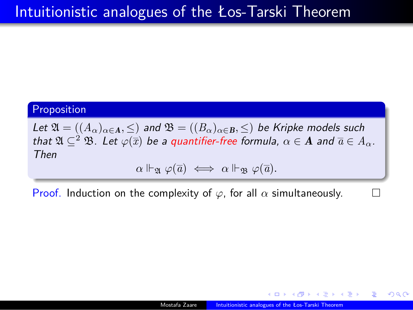Proposition

 $\mathcal{L}$ et  $\mathfrak{A} = ((A_{\alpha})_{\alpha \in \mathbf{A}}, \leq)$  and  $\mathfrak{B} = ((B_{\alpha})_{\alpha \in \mathbf{B}}, \leq)$  be Kripke models such *that*  $\mathfrak{A} \subseteq^2 \mathfrak{B}$ *. Let*  $\varphi(\overline{x})$  *be a quantifier-free formula,*  $\alpha \in \mathbf{A}$  *and*  $\overline{a} \in A_\alpha$ *. Then*  $\alpha \Vdash_{\mathfrak{A}} \varphi(\overline{a}) \iff \alpha \Vdash_{\mathfrak{B}} \varphi(\overline{a})$ .

Proof. Induction on the complexity of  $\varphi$ , for all  $\alpha$  simultaneously.  $\Box$ 

. . . . . . . . . . . . . . . . . . . . . . . . . . . . . . . . . . . . . . . Mostafa Zaare **Int**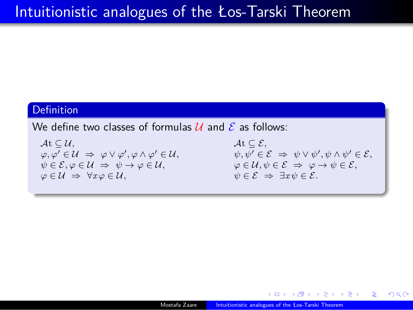#### **Definition**

We define two classes of formulas  $U$  and  $E$  as follows:

 $\mathcal{A}$ t  $\subseteq \mathcal{U},$   $\mathcal{A}$ t  $\subseteq \mathcal{E},$  $\psi \in \mathcal{E}, \varphi \in \mathcal{U} \Rightarrow \psi \rightarrow \varphi \in \mathcal{U}, \qquad \qquad \varphi \in \mathcal{U}, \psi \in \mathcal{E} \Rightarrow \varphi \rightarrow \psi \in \mathcal{E},$  $\varphi \in \mathcal{U} \Rightarrow \forall x \varphi \in \mathcal{U}, \qquad \psi \in \mathcal{E} \Rightarrow \exists x \psi \in \mathcal{E}.$ 

 $\varphi, \varphi' \in \mathcal{U} \Rightarrow \varphi \vee \varphi', \varphi \wedge \varphi' \in \mathcal{U}, \hspace{2cm} \psi, \psi' \in \mathcal{E} \Rightarrow \psi \vee \psi', \psi \wedge \psi' \in \mathcal{E},$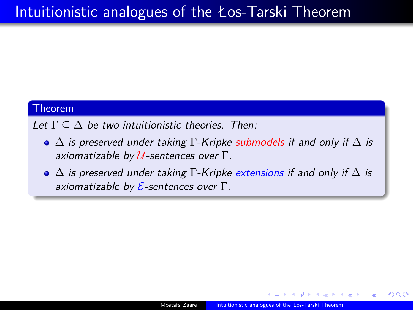#### Theorem

*Let* Γ *⊆* ∆ *be two intuitionistic theories. Then:*

- ∆ *is preserved under taking* Γ*-Kripke submodels if and only if* ∆ *is axiomatizable by U-sentences over* Γ*.*
- ∆ *is preserved under taking* Γ*-Kripke extensions if and only if* ∆ *is axiomatizable by E-sentences over* Γ*.*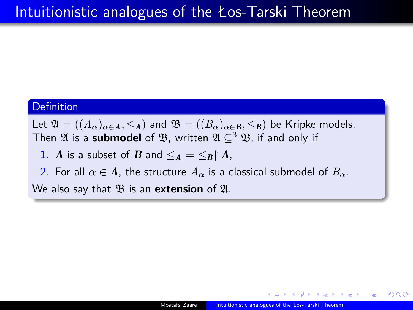#### **Definition**

Let  $\mathfrak{A} = ((A_{\alpha})_{\alpha \in \mathbf{A}}, \leq_{\mathbf{A}})$  and  $\mathfrak{B} = ((B_{\alpha})_{\alpha \in \mathbf{B}}, \leq_{\mathbf{B}})$  be Kripke models. Then  $\mathfrak A$  is a **submodel** of  $\mathfrak B$ , written  $\mathfrak A\subseteq^3\mathfrak B$ , if and only if

- 1. *A* is a subset of *B* and  $\leq_A = \leq_B \upharpoonright A$ ,
- 2. For all  $\alpha \in \mathbf{A}$ , the structure  $A_{\alpha}$  is a classical submodel of  $B_{\alpha}$ .
- We also say that  $\mathfrak B$  is an **extension** of  $\mathfrak A$ .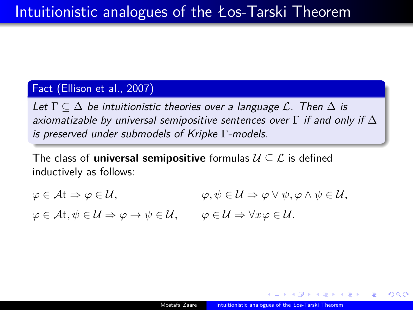#### Fact (Ellison et al., 2007)

*Let* Γ *⊆* ∆ *be intuitionistic theories over a language L. Then* ∆ *is axiomatizable by universal semipositive sentences over* Γ *if and only if* ∆ *is preserved under submodels of Kripke* Γ*-models.*

The class of **universal semipositive** formulas *U ⊆ L* is defined inductively as follows:

 $\varphi \in \mathcal{A}$ t  $\Rightarrow \varphi \in \mathcal{U},$   $\varphi, \psi \in \mathcal{U} \Rightarrow \varphi \vee \psi, \varphi \wedge \psi \in \mathcal{U},$  $\varphi \in \mathcal{A}$ t,  $\psi \in \mathcal{U} \Rightarrow \varphi \rightarrow \psi \in \mathcal{U}$ ,  $\varphi \in \mathcal{U} \Rightarrow \forall x \varphi \in \mathcal{U}$ .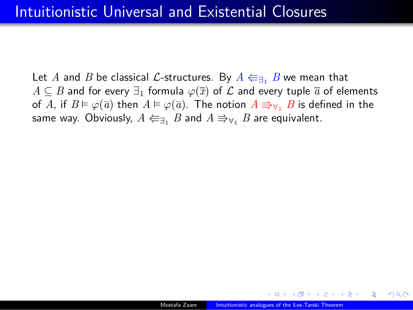Let *A* and *B* be classical *L*-structures. By  $A \Leftarrow_{\exists_1} B$  we mean that *A*  $\subseteq$  *B* and for every  $\exists$ <sub>1</sub> formula  $\varphi(\overline{x})$  of *L* and every tuple  $\overline{a}$  of elements of *A*, if  $B \vDash \varphi(\overline{a})$  then  $A \vDash \varphi(\overline{a})$ . The notion  $A \rightrightarrows_{\forall_1} B$  is defined in the same way. Obviously,  $A \Leftarrow_{\exists_1} B$  and  $A \Rrightarrow_{\forall_1} B$  are equivalent.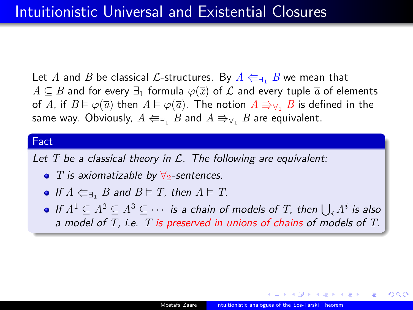Let *A* and *B* be classical *L*-structures. By  $A \Leftarrow_{\exists_1} B$  we mean that *A*  $\subseteq$  *B* and for every  $\exists$ <sub>1</sub> formula  $\varphi(\overline{x})$  of  $\mathcal L$  and every tuple  $\overline{a}$  of elements of *A*, if  $B \vDash \varphi(\overline{a})$  then  $A \vDash \varphi(\overline{a})$ . The notion  $A \rightrightarrows_{\forall_1} B$  is defined in the same way. Obviously,  $A \Leftarrow_{\exists_1} B$  and  $A \Rrightarrow_{\forall_1} B$  are equivalent.

#### Fact

*Let T be a classical theory in L. The following are equivalent:*

- *T is axiomatizable by ∀*2*-sentences.*
- If  $A \n\in \mathcal{F}_1$  *B* and  $B \models T$ *, then*  $A \models T$ *.*
- *If*  $A^1$  ⊆  $A^2$  ⊆  $A^3$  ⊆  $\cdots$  *is a chain of models of T, then*  $\bigcup_i A^i$  *is also a model of T, i.e. T is preserved in unions of chains of models of T.*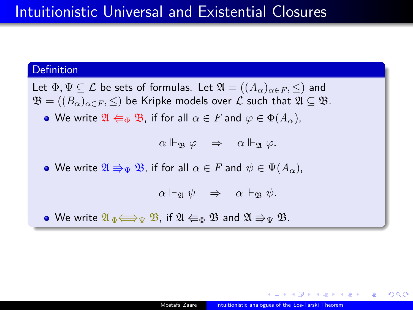#### **Definition**

Let  $\Phi, \Psi \subseteq \mathcal{L}$  be sets of formulas. Let  $\mathfrak{A} = ((A_{\alpha})_{\alpha \in F}, \leq)$  and  $\mathfrak{B} = ((B_\alpha)_{\alpha \in F}, \leq)$  be Kripke models over  $\mathcal L$  such that  $\mathfrak{A} \subseteq \mathfrak{B}.$ 

**•** We write  $\mathfrak{A} \Leftarrow_{\Phi} \mathfrak{B}$ , if for all  $\alpha \in F$  and  $\varphi \in \Phi(A_{\alpha})$ ,

 $\alpha \Vdash_{\mathfrak{B}} \varphi \Rightarrow \alpha \Vdash_{\mathfrak{A}} \varphi.$ 

• We write  $\mathfrak{A} \Rrightarrow_{\Psi} \mathfrak{B}$ , if for all  $\alpha \in F$  and  $\psi \in \Psi(A_{\alpha})$ ,

 $\alpha \Vdash_{\mathfrak{A}} \psi \Rightarrow \alpha \Vdash_{\mathfrak{B}} \psi.$ 

• We write  $\mathfrak{A}_{\Phi} \Longleftrightarrow_{\Psi} \mathfrak{B}$ , if  $\mathfrak{A} \Leftarrow_{\Phi} \mathfrak{B}$  and  $\mathfrak{A} \Rrightarrow_{\Psi} \mathfrak{B}$ .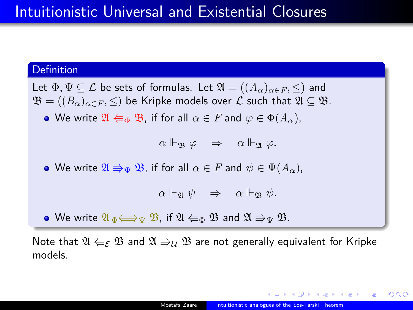#### **Definition**

Let  $\Phi, \Psi \subseteq \mathcal{L}$  be sets of formulas. Let  $\mathfrak{A} = ((A_{\alpha})_{\alpha \in F}, \leq)$  and  $\mathfrak{B} = ((B_\alpha)_{\alpha \in F}, \leq)$  be Kripke models over  $\mathcal L$  such that  $\mathfrak{A} \subseteq \mathfrak{B}.$ 

**•** We write  $\mathfrak{A} \Leftarrow_{\Phi} \mathfrak{B}$ , if for all  $\alpha \in F$  and  $\varphi \in \Phi(A_\alpha)$ ,

 $\alpha \Vdash_{\mathfrak{B}} \varphi \Rightarrow \alpha \Vdash_{\mathfrak{A}} \varphi.$ 

• We write  $\mathfrak{A} \Rrightarrow_{\Psi} \mathfrak{B}$ , if for all  $\alpha \in F$  and  $\psi \in \Psi(A_{\alpha})$ ,

*α* ⊩<sub>*n*</sub>  $\psi$  ⇒ *α* ⊩<sub>*n*</sub>  $\psi$ .

• We write  $\mathfrak{A}_{\Phi} \Longleftrightarrow_{\Psi} \mathfrak{B}$ , if  $\mathfrak{A} \Leftarrow_{\Phi} \mathfrak{B}$  and  $\mathfrak{A} \Rrightarrow_{\Psi} \mathfrak{B}$ .

Note that  $\mathfrak{A} \Leftarrow_{\mathcal{E}} \mathfrak{B}$  and  $\mathfrak{A} \Rrightarrow_{\mathcal{U}} \mathfrak{B}$  are not generally equivalent for Kripke models.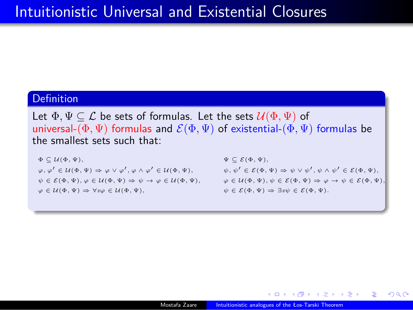#### **Definition**

Let  $\Phi, \Psi \subseteq \mathcal{L}$  be sets of formulas. Let the sets  $\mathcal{U}(\Phi, \Psi)$  of universal- $(\Phi, \Psi)$  formulas and  $\mathcal{E}(\Phi, \Psi)$  of existential- $(\Phi, \Psi)$  formulas be the smallest sets such that:

#### $\Phi \subseteq \mathcal{U}(\Phi, \Psi),$   $\Psi \subseteq \mathcal{E}(\Phi, \Psi),$

 $\varphi, \varphi' \in \mathcal{U}(\Phi, \Psi) \Rightarrow \varphi \vee \varphi', \varphi \wedge \varphi' \in \mathcal{U}(\Phi, \Psi), \qquad \psi, \psi' \in \mathcal{E}(\Phi, \Psi) \Rightarrow \psi \vee \psi', \psi \wedge \psi' \in \mathcal{E}(\Phi, \Psi),$  $\psi \in \mathcal{E}(\Phi, \Psi), \varphi \in \mathcal{U}(\Phi, \Psi) \Rightarrow \psi \rightarrow \varphi \in \mathcal{U}(\Phi, \Psi), \qquad \varphi \in \mathcal{U}(\Phi, \Psi), \psi \in \mathcal{E}(\Phi, \Psi) \Rightarrow \varphi \rightarrow \psi \in \mathcal{E}(\Phi, \Psi),$  $\varphi \in \mathcal{U}(\Phi, \Psi) \Rightarrow \forall x \varphi \in \mathcal{U}(\Phi, \Psi),$   $\psi \in \mathcal{E}(\Phi, \Psi) \Rightarrow \exists x \psi \in \mathcal{E}(\Phi, \Psi).$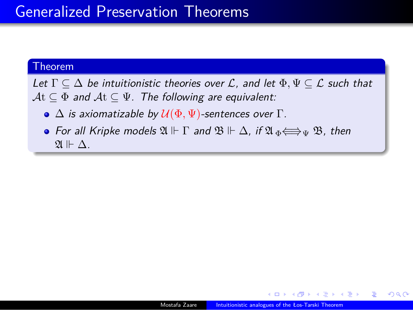#### Theorem

*Let* Γ *⊆* ∆ *be intuitionistic theories over L, and let* Φ*,* Ψ *⊆ L such that A*t *⊆* Φ *and A*t *⊆* Ψ*. The following are equivalent:*

- ∆ *is axiomatizable by U*(Φ*,* Ψ)*-sentences over* Γ*.*
- **•** For all Kripke models  $\mathfrak{A} \Vdash \Gamma$  and  $\mathfrak{B} \Vdash \Delta$ , if  $\mathfrak{A} \Leftrightarrow \text{P} \Psi$   $\mathfrak{B}$ , then  $\mathfrak{A} \Vdash \Delta$ .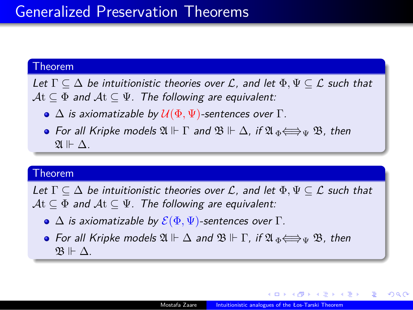#### Theorem

*Let* Γ *⊆* ∆ *be intuitionistic theories over L, and let* Φ*,* Ψ *⊆ L such that A*t *⊆* Φ *and A*t *⊆* Ψ*. The following are equivalent:*

- $\bullet$   $\Delta$  *is axiomatizable by*  $\mathcal{U}(\Phi, \Psi)$ -sentences over  $\Gamma$ .
- **•** For all Kripke models  $\mathfrak{A} \Vdash \Gamma$  and  $\mathfrak{B} \Vdash \Delta$ , if  $\mathfrak{A} \Leftrightarrow \Leftrightarrow \Psi$   $\mathfrak{B}$ , then  $\mathfrak{A} \Vdash \Delta$ .

#### Theorem

*Let* Γ *⊆* ∆ *be intuitionistic theories over L, and let* Φ*,* Ψ *⊆ L such that A*t *⊆* Φ *and A*t *⊆* Ψ*. The following are equivalent:*

- $\bullet \Delta$  *is axiomatizable by*  $\mathcal{E}(\Phi, \Psi)$ -sentences over  $\Gamma$ .
- **•** For all Kripke models  $\mathfrak{A} \Vdash \Delta$  and  $\mathfrak{B} \Vdash \Gamma$ , if  $\mathfrak{A} \Leftrightarrow_{\Psi} \mathfrak{B}$ , then B ⊩ ∆*.*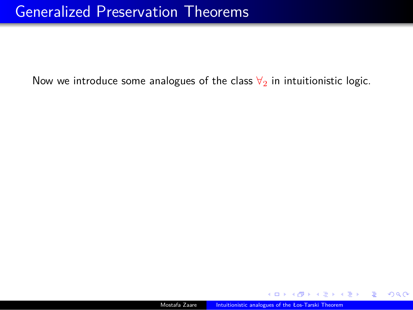Now we introduce some analogues of the class  $\forall_2$  in intuitionistic logic.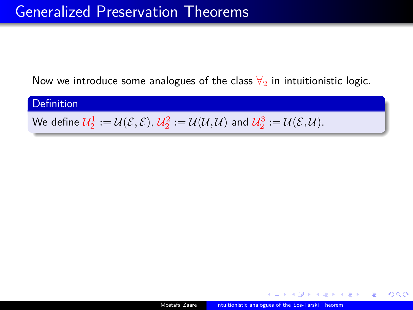Now we introduce some analogues of the class  $\forall_2$  in intuitionistic logic.

**Definition** We define  $\mathcal{U}_2^1 := \mathcal{U}(\mathcal{E}, \mathcal{E}), \ \mathcal{U}_2^2 := \mathcal{U}(\mathcal{U}, \mathcal{U})$  and  $\mathcal{U}_2^3 := \mathcal{U}(\mathcal{E}, \mathcal{U}).$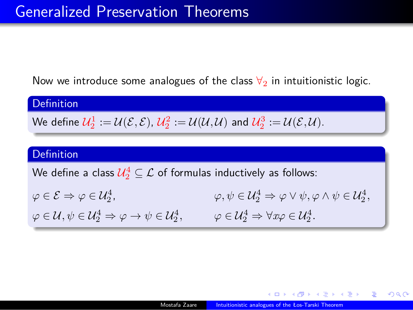Now we introduce some analogues of the class  $\forall_2$  in intuitionistic logic.

| <b>Definition</b>                                                                                                                                                                                |                                                                                                            |  |  |  |
|--------------------------------------------------------------------------------------------------------------------------------------------------------------------------------------------------|------------------------------------------------------------------------------------------------------------|--|--|--|
| We define $\mathcal{U}_2^1 := \mathcal{U}(\mathcal{E}, \mathcal{E}), \ \mathcal{U}_2^2 := \mathcal{U}(\mathcal{U}, \mathcal{U})$ and $\mathcal{U}_2^3 := \mathcal{U}(\mathcal{E}, \mathcal{U}).$ |                                                                                                            |  |  |  |
|                                                                                                                                                                                                  |                                                                                                            |  |  |  |
| <b>Definition</b>                                                                                                                                                                                |                                                                                                            |  |  |  |
| We define a class $\mathcal{U}_2^4 \subseteq \mathcal{L}$ of formulas inductively as follows:                                                                                                    |                                                                                                            |  |  |  |
| $\varphi \in \mathcal{E} \Rightarrow \varphi \in \mathcal{U}_2^4$ ,                                                                                                                              | $\varphi, \psi \in \mathcal{U}_2^4 \Rightarrow \varphi \vee \psi, \varphi \wedge \psi \in \mathcal{U}_2^4$ |  |  |  |
| $\varphi \in \mathcal{U}, \psi \in \mathcal{U}_2^4 \Rightarrow \varphi \rightarrow \psi \in \mathcal{U}_2^4,$                                                                                    | $\varphi \in \mathcal{U}_2^4 \Rightarrow \forall x \varphi \in \mathcal{U}_2^4.$                           |  |  |  |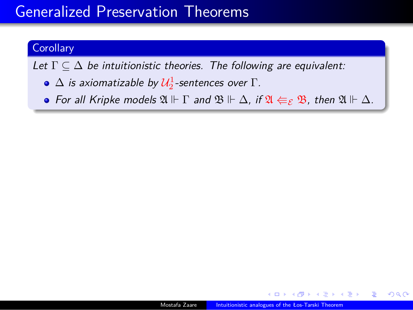#### **Corollary**

*Let* Γ *⊆* ∆ *be intuitionistic theories. The following are equivalent:*

- $\Delta$  *is axiomatizable by*  $\mathcal{U}_2^1$ *-sentences over*  $\Gamma$ *.*
- **•** For all Kripke models  $\mathfrak{A} \Vdash \Gamma$  and  $\mathfrak{B} \Vdash \Delta$ , if  $\mathfrak{A} \Leftarrow_{\mathcal{E}} \mathfrak{B}$ , then  $\mathfrak{A} \Vdash \Delta$ .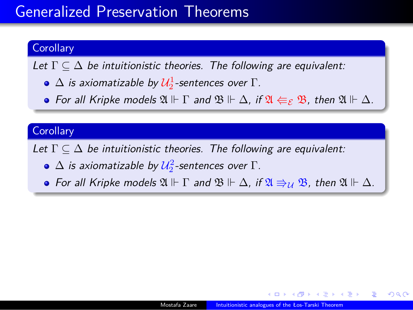#### Corollary

*Let* Γ *⊆* ∆ *be intuitionistic theories. The following are equivalent:*

- $\Delta$  *is axiomatizable by*  $\mathcal{U}_2^1$ *-sentences over*  $\Gamma$ *.*
- **•** For all Kripke models  $\mathfrak{A} \Vdash \Gamma$  and  $\mathfrak{B} \Vdash \Delta$ , if  $\mathfrak{A} \Leftarrow_{\mathcal{E}} \mathfrak{B}$ , then  $\mathfrak{A} \Vdash \Delta$ .

#### Corollary

*Let* Γ *⊆* ∆ *be intuitionistic theories. The following are equivalent:*

- $\Delta$  *is axiomatizable by*  $\mathcal{U}_2^2$ *-sentences over*  $\Gamma$ *.*
- For all Kripke models  $\mathfrak{A} \Vdash \Gamma$  and  $\mathfrak{B} \Vdash \Delta$ , if  $\mathfrak{A} \Rrightarrow_U \mathfrak{B}$ , then  $\mathfrak{A} \Vdash \Delta$ *.*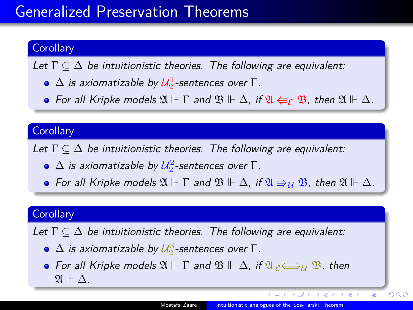#### Corollary

*Let* Γ *⊆* ∆ *be intuitionistic theories. The following are equivalent:*

- $\Delta$  *is axiomatizable by*  $\mathcal{U}_2^1$ *-sentences over*  $\Gamma$ *.*
- **•** For all Kripke models  $\mathfrak{A} \Vdash \Gamma$  and  $\mathfrak{B} \Vdash \Delta$ , if  $\mathfrak{A} \Leftarrow_{\mathcal{E}} \mathfrak{B}$ , then  $\mathfrak{A} \Vdash \Delta$ .

#### **Corollary**

*Let* Γ *⊆* ∆ *be intuitionistic theories. The following are equivalent:*

- $\Delta$  *is axiomatizable by*  $\mathcal{U}_2^2$ *-sentences over*  $\Gamma$ *.*
- **•** For all Kripke models  $\mathfrak{A} \Vdash \Gamma$  and  $\mathfrak{B} \Vdash \Delta$ , if  $\mathfrak{A} \Rrightarrow_U \mathfrak{B}$ , then  $\mathfrak{A} \Vdash \Delta$ *.*

#### **Corollary**

*Let* Γ *⊆* ∆ *be intuitionistic theories. The following are equivalent:*

- $\Delta$  *is axiomatizable by*  $\mathcal{U}_2^3$ *-sentences over*  $\Gamma$ *.*
- **•** For all Kripke models  $\mathfrak{A} \Vdash \Gamma$  and  $\mathfrak{B} \Vdash \Delta$ , if  $\mathfrak{A}_{\varepsilon} \Longleftrightarrow_{\mathcal{U}} \mathfrak{B}$ , then  $\mathfrak{A}$  ⊩  $\Delta$ *.*

. . . . . .

. .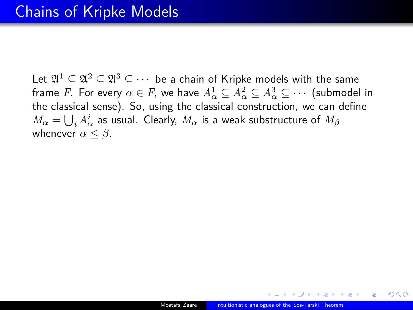Let  $\mathfrak{A}^1 \subseteq \mathfrak{A}^2 \subseteq \mathfrak{A}^3 \subseteq \cdots$  be a chain of Kripke models with the same frame *F*. For every  $\alpha \in F$ , we have  $A^1_\alpha \subseteq A^2_\alpha \subseteq A^3_\alpha \subseteq \cdots$  (submodel in the classical sense). So, using the classical construction, we can define  $M_{\alpha} = \bigcup_{i} A_{\alpha}^{i}$  as usual. Clearly,  $M_{\alpha}$  is a weak substructure of  $M_{\beta}$ whenever  $\alpha \leq \beta$ .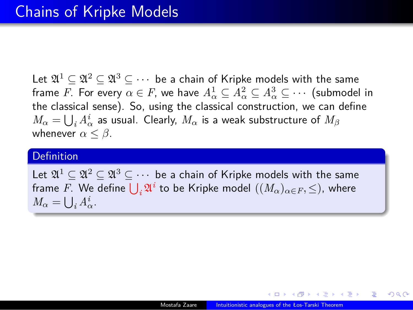Let  $\mathfrak{A}^1 \subseteq \mathfrak{A}^2 \subseteq \mathfrak{A}^3 \subseteq \cdots$  be a chain of Kripke models with the same frame *F*. For every  $\alpha \in F$ , we have  $A^1_\alpha \subseteq A^2_\alpha \subseteq A^3_\alpha \subseteq \cdots$  (submodel in the classical sense). So, using the classical construction, we can define  $M_{\alpha} = \bigcup_{i} A_{\alpha}^{i}$  as usual. Clearly,  $M_{\alpha}$  is a weak substructure of  $M_{\beta}$ whenever  $\alpha \leq \beta$ .

#### Definition

Let  $\mathfrak{A}^1 \subseteq \mathfrak{A}^2 \subseteq \mathfrak{A}^3 \subseteq \cdots$  be a chain of Kripke models with the same frame  $F$ . We define  $\bigcup_i \mathfrak{A}^i$  to be Kripke model  $((M_\alpha)_{\alpha \in F}, \leq)$ , where  $M_{\alpha} = \bigcup_i A_{\alpha}^i$ .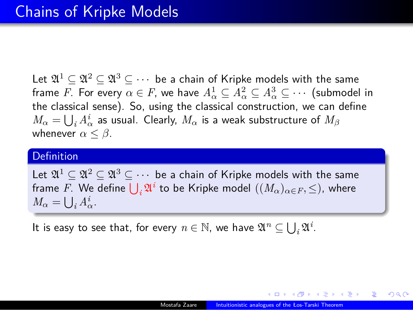Let  $\mathfrak{A}^1 \subseteq \mathfrak{A}^2 \subseteq \mathfrak{A}^3 \subseteq \cdots$  be a chain of Kripke models with the same frame *F*. For every  $\alpha \in F$ , we have  $A^1_\alpha \subseteq A^2_\alpha \subseteq A^3_\alpha \subseteq \cdots$  (submodel in the classical sense). So, using the classical construction, we can define  $M_{\alpha} = \bigcup_{i} A_{\alpha}^{i}$  as usual. Clearly,  $M_{\alpha}$  is a weak substructure of  $M_{\beta}$ whenever  $\alpha \leq \beta$ .

#### Definition

Let  $\mathfrak{A}^1 \subseteq \mathfrak{A}^2 \subseteq \mathfrak{A}^3 \subseteq \cdots$  be a chain of Kripke models with the same frame  $F$ . We define  $\bigcup_i \mathfrak{A}^i$  to be Kripke model  $((M_\alpha)_{\alpha \in F}, \leq)$ , where  $M_{\alpha} = \bigcup_i A_{\alpha}^i$ .

It is easy to see that, for every  $n \in \mathbb{N}$ , we have  $\mathfrak{A}^n \subseteq \bigcup_i \mathfrak{A}^i$ .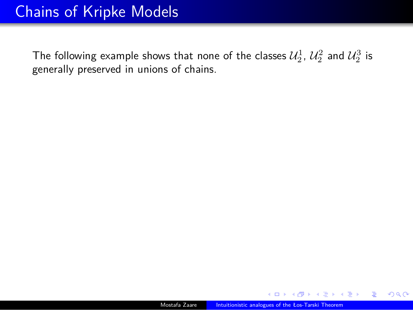The following example shows that none of the classes  $\mathcal{U}_2^1$ ,  $\mathcal{U}_2^2$  and  $\mathcal{U}_2^3$  is generally preserved in unions of chains.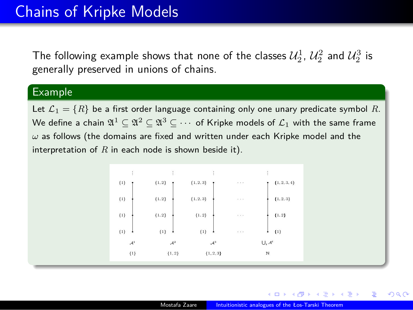The following example shows that none of the classes  $\mathcal{U}_2^1$ ,  $\mathcal{U}_2^2$  and  $\mathcal{U}_2^3$  is generally preserved in unions of chains.

#### Example

Let  $\mathcal{L}_1 = \{R\}$  be a first order language containing only one unary predicate symbol  $R$ . We define a chain  $\mathfrak{A}^1 \subseteq \mathfrak{A}^2 \subseteq \mathfrak{A}^3 \subseteq \cdots$  of Kripke models of  $\mathcal{L}_1$  with the same frame *ω* as follows (the domains are fixed and written under each Kripke model and the interpretation of *R* in each node is shown beside it).

| ŧ                  | ŧ                               | ŧ               |                      | ÷              |
|--------------------|---------------------------------|-----------------|----------------------|----------------|
| $\{1\}$<br>٠       | $\{1,2\}$                       | ${1, 2, 3}$     | $\sim$ $\sim$ $\sim$ | ${1, 2, 3, 4}$ |
| $\{1\}$            | $\{1,2\}$                       | ${1, 2, 3}$     | $\sim$ $\sim$        | ${1, 2, 3}$    |
| $\{1\}$            | $\{1,2\}$                       | ${1, 2}$        | $\sim$ $\sim$ $\sim$ | ${1, 2}$       |
| $\{1\}$<br>$\cdot$ | $\{1\}$<br>$\ddot{\phantom{1}}$ | $\{1\}$<br>٠    | $\ldots$             | $\{1\}$<br>٠   |
| $\mathcal{A}^1$    | $\mathcal{A}^2$                 | $\mathcal{A}^3$ |                      | $U, A^i$       |
| ${1}$              | ${1, 2}$                        | ${1, 2, 3}$     |                      | И              |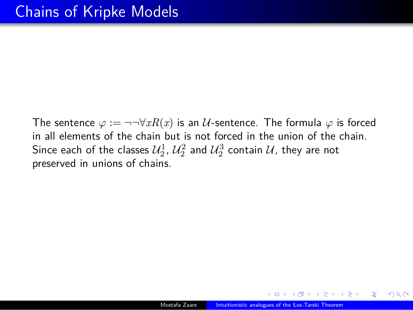The sentence  $\varphi := \neg\neg \forall x R(x)$  is an *U*-sentence. The formula  $\varphi$  is forced in all elements of the chain but is not forced in the union of the chain. Since each of the classes  $\mathcal{U}_2^1$ ,  $\mathcal{U}_2^2$  and  $\mathcal{U}_2^3$  contain  $\mathcal{U}$ , they are not preserved in unions of chains.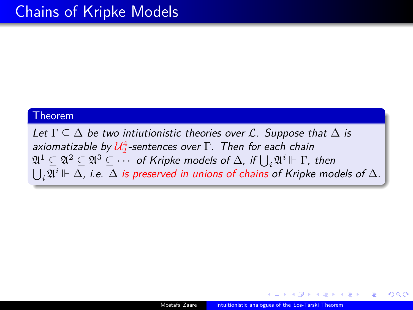#### Theorem

*Let* Γ *⊆* ∆ *be two intiutionistic theories over L. Suppose that* ∆ *is axiomatizable by U* 4 2 *-sentences over* Γ*. Then for each chain*  $\mathfrak{A}^1 \subseteq \mathfrak{A}^2 \subseteq \mathfrak{A}^3 \subseteq \cdots$  of Kripke models of  $\Delta$ , if  $\bigcup_i \mathfrak{A}^i \Vdash \Gamma$ , then ∪ *i* A *<sup>i</sup>* ⊩ ∆*, i.e.* ∆ *is preserved in unions of chains of Kripke models of* ∆*.*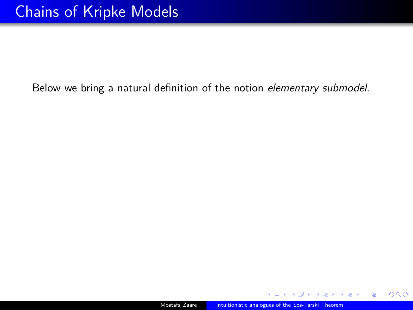Below we bring a natural definition of the notion *elementary submodel*.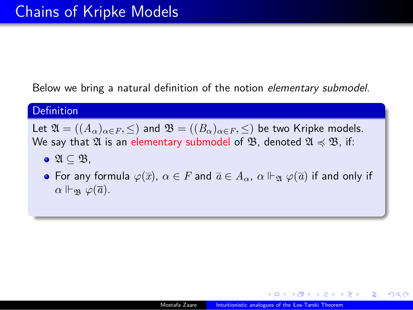Below we bring a natural definition of the notion *elementary submodel*.

#### **Definition**

Let  $\mathfrak{A} = ((A_{\alpha})_{\alpha \in F}, \leq)$  and  $\mathfrak{B} = ((B_{\alpha})_{\alpha \in F}, \leq)$  be two Kripke models. We say that  $\mathfrak A$  is an elementary submodel of  $\mathfrak B$ , denoted  $\mathfrak A\preccurlyeq\mathfrak B$ , if:

- A *⊆* B,
- For any formula  $\varphi(\overline{x})$ ,  $\alpha \in F$  and  $\overline{a} \in A_\alpha$ ,  $\alpha \Vdash_{\mathfrak{A}} \varphi(\overline{a})$  if and only if *α*  $\Vdash_{\mathfrak{B}} \varphi(\overline{a})$ .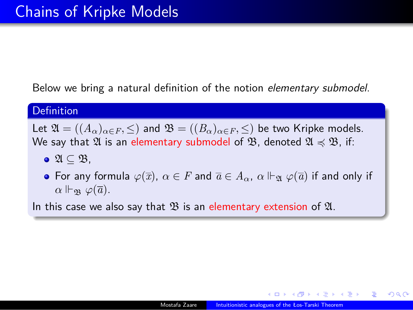Below we bring a natural definition of the notion *elementary submodel*.

#### **Definition**

Let  $\mathfrak{A} = ((A_{\alpha})_{\alpha \in F}, \leq)$  and  $\mathfrak{B} = ((B_{\alpha})_{\alpha \in F}, \leq)$  be two Kripke models. We say that  $\mathfrak A$  is an elementary submodel of  $\mathfrak B$ , denoted  $\mathfrak A\preccurlyeq\mathfrak B$ , if:

- A *⊆* B,
- For any formula  $\varphi(\overline{x})$ ,  $\alpha \in F$  and  $\overline{a} \in A_\alpha$ ,  $\alpha \Vdash_{\mathfrak{A}} \varphi(\overline{a})$  if and only if *α*  $\Vdash_{\mathfrak{B}} \varphi(\overline{a})$ .

In this case we also say that  $\mathfrak B$  is an elementary extension of  $\mathfrak A$ .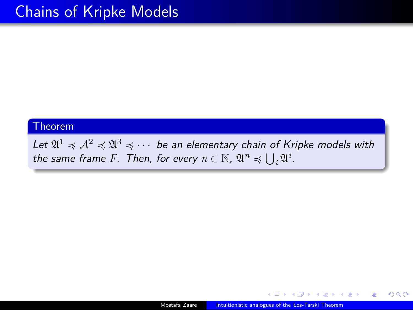#### Theorem

 $Let \mathfrak{A}^1 \preccurlyeq \mathfrak{A}^2 \preccurlyeq \mathfrak{A}^3 \preccurlyeq \cdots$  be an elementary chain of Kripke models with *the same frame F. Then, for every*  $n \in \mathbb{N}$ ,  $\mathfrak{A}^n \preccurlyeq \bigcup_i \mathfrak{A}^i$ .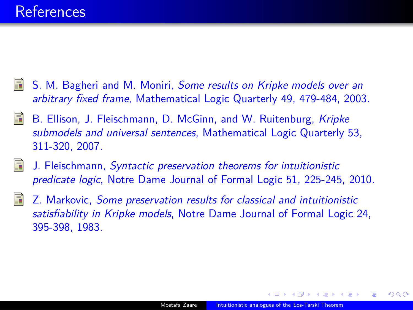### **References**

- S. M. Bagheri and M. Moniri, *Some results on Kripke models over an arbitrary fixed frame*, Mathematical Logic Quarterly 49, 479-484, 2003.
- B. Ellison, J. Fleischmann, D. McGinn, and W. Ruitenburg, *Kripke submodels and universal sentences*, Mathematical Logic Quarterly 53, 311-320, 2007.
- J. Fleischmann, *Syntactic preservation theorems for intuitionistic predicate logic*, Notre Dame Journal of Formal Logic 51, 225-245, 2010.
- Z. Markovic, *Some preservation results for classical and intuitionistic satisfiability in Kripke models*, Notre Dame Journal of Formal Logic 24, 395-398, 1983.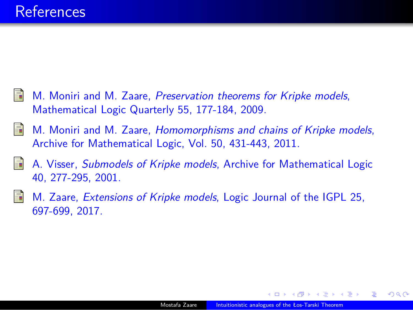### **References**

- M. Moniri and M. Zaare, *Preservation theorems for Kripke models*, Mathematical Logic Quarterly 55, 177-184, 2009.
- M. Moniri and M. Zaare, *Homomorphisms and chains of Kripke models*, Archive for Mathematical Logic, Vol. 50, 431-443, 2011.
- A. Visser, *Submodels of Kripke models*, Archive for Mathematical Logic 40, 277-295, 2001.
- M. Zaare, *Extensions of Kripke models*, Logic Journal of the IGPL 25, 697-699, 2017.